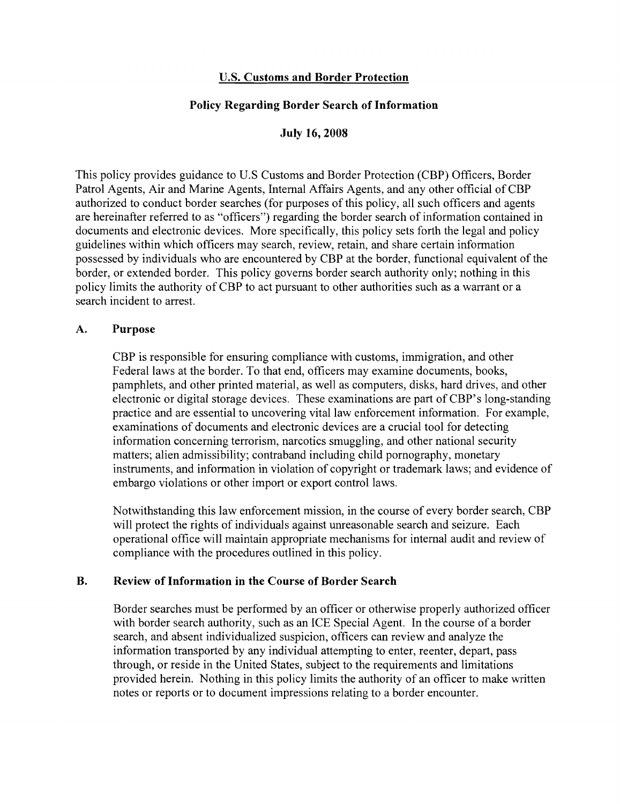### **U.S. Customs and Border Protection**

### **Policy Regarding Border Search of Information**

**July 16,2008** 

This policy provides guidance to U.S Customs and Border Protection (CBP) Officers, Border Patrol Agents, Air and Marine Agents, Internal Affairs Agents, and any other official of CBP authorized to conduct border searches (for purposes of this policy, all such officers and agents are hereinafter referred to as "officers") regarding the border search of information contained in documents and electronic devices. More specifically, this policy sets forth the legal and policy guidelines within which officers may search, review, retain, and share certain information possessed by individuals who are encountered by CBP at the border, functional equivalent of the border, or extended border. This policy governs border search authority only; nothing in this policy limits the authority of CBP to act pursuant to other authorities such as a warrant or a search incident to arrest.

#### **A. Purpose**

CBP is responsible for ensuring compliance with customs, immigration, and other Federal laws at the border. To that end, officers may examine documents, books, pamphlets, and other printed material, as well as computers, disks, hard drives, and other electronic or digital storage devices. These examinations are part of CBP's long-standing practice and are essential to uncovering vital law enforcement information. For example, examinations of documents and electronic devices are a crucial tool for detecting information concerning terrorism, narcotics smuggling, and other national security matters; alien admissibility; contraband including child pornography, monetary instruments, and information in violation of copyright or trademark laws; and evidence of embargo violations or other import or export control laws.

Notwithstanding this law enforcement mission, in the course of every border search, CBP will protect the rights of individuals against unreasonable search and seizure. Each operational office will maintain appropriate mechanisms for internal audit and review of compliance with the procedures outlined in this policy.

#### **B. Review of Information in the Course of Border Search**

Border searches must be performed by an officer or otherwise properly authorized officer with border search authority, such as an ICE Special Agent. In the course of a border search, and absent individualized suspicion, officers can review and analyze the information transported by any individual attempting to enter, reenter, depart, pass through, or reside in the United States, subject to the requirements and limitations provided herein. Nothing in this policy limits the authority of an officer to make written notes or reports or to document impressions relating to a border encounter.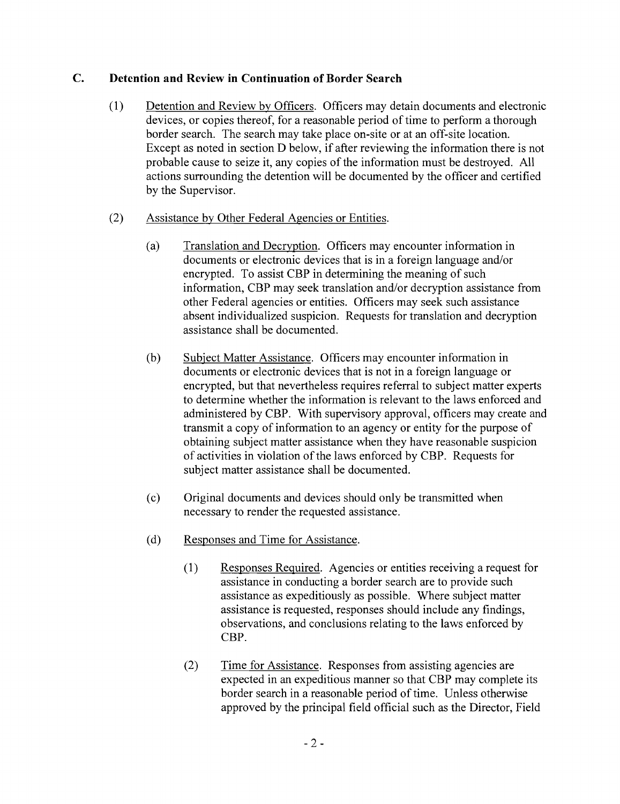## **C. Detention and Review in Continuation of Border Search**

- (1) Detention and Review by Officers. Officers may detain documents and electronic devices, or copies thereof, for a reasonable period of time to perform a thorough border search. The search may take place on-site or at an off-site location. Except as noted in section D below, if after reviewing the information there is not probable cause to seize it, any copies of the information must be destroyed. All actions surrounding the detention will be documented by the officer and certified by the Supervisor.
- (2) Assistance by Other Federal Agencies or Entities.
	- (a) Translation and Decryption. Officers may encounter information in documents or electronic devices that is in a foreign language and/or encrypted. To assist CBP in determining the meaning of such information, CBP may seek translation and/or decryption assistance from other Federal agencies or entities. Officers may seek such assistance absent individualized suspicion. Requests for translation and decryption assistance shall be documented.
	- (b) Subject Matter Assistance. Officers may encounter information in documents or electronic devices that is not in a foreign language or encrypted, but that nevertheless requires referral to subject matter experts to determine whether the information is relevant to the laws enforced and administered by CBP. With supervisory approval, officers may create and transmit a copy of information to an agency or entity for the purpose of obtaining subject matter assistance when they have reasonable suspicion of activities in violation of the laws enforced by CBP. Requests for subject matter assistance shall be documented.
	- (c) Original documents and devices should only be transmitted when necessary to render the requested assistance.
	- (d) Responses and Time for Assistance.
		- (1) Responses Required. Agencies or entities receiving a request for assistance in conducting a border search are to provide such assistance as expeditiously as possible. Where subject matter assistance is requested, responses should include any findings, observations, and conclusions relating to the laws enforced by CBP.
		- (2) Time for Assistance. Responses from assisting agencies are expected in an expeditious manner so that CBP may complete its border search in a reasonable period of time. Unless otherwise approved by the principal field official such as the Director, Field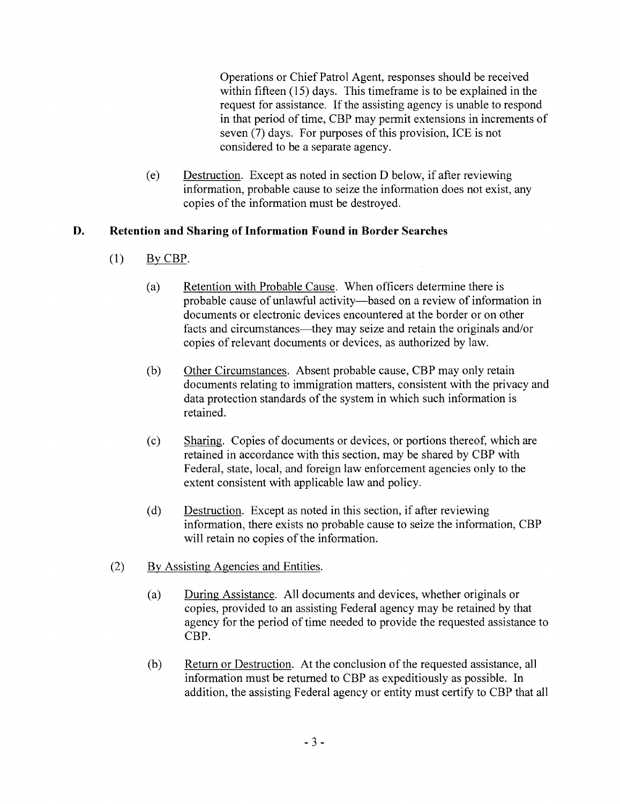Operations or Chief Patrol Agent, responses should be received within fifteen  $(15)$  days. This timeframe is to be explained in the request for assistance. If the assisting agency is unable to respond in that period of time, CBP may permit extensions in increments of seven (7) days. For purposes of this provision, ICE is not considered to be a separate agency.

(e) Destruction. Except as noted in section D below, if after reviewing information, probable cause to seize the information does not exist, any copies of the information must be destroyed.

## **D. Retention and Sharing of Information Found in Border Searches**

- (1) By CBP.
	- (a) Retention with Probable Cause. When officers determine there is probable cause of unlawful activity-based on a review of information in documents or electronic devices encountered at the border or on other facts and circumstances—they may seize and retain the originals and/or copies of relevant documents or devices, as authorized by law.
	- (b) Other Circumstances. Absent probable cause, CBP may only retain documents relating to immigration matters, consistent with the privacy and data protection standards of the system in which such information is retained.
	- (c) Sharing. Copies of documents or devices, or portions thereof, which are retained in accordance with this section, may be shared by CBP with Federal, state, local, and foreign law enforcement agencies only to the extent consistent with applicable law and policy.
	- (d) Destruction. Except as noted in this section, if after reviewing information, there exists no probable cause to seize the information, CBP will retain no copies of the information.
- (2) By Assisting Agencies and Entities.
	- (a) During Assistance. All documents and devices, whether originals or copies, provided to an assisting Federal agency may be retained by that agency for the period of time needed to provide the requested assistance to CBP.
	- (b) Return or Destruction. At the conclusion of the requested assistance, all information must be returned to CBP as expeditiously as possible. In addition, the assisting Federal agency or entity must certify to CBP that all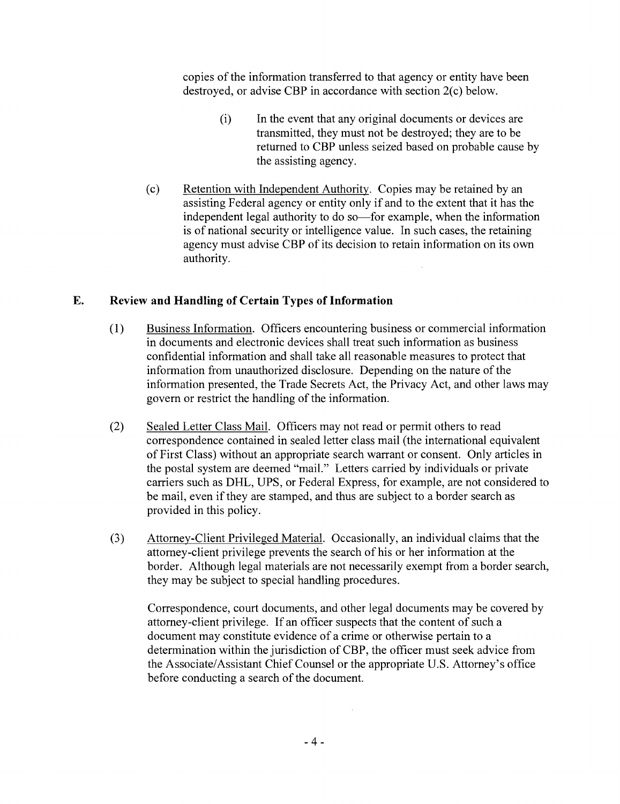copies of the information transferred to that agency or entity have been destroyed, or advise CBP in accordance with section 2(c) below.

- (i) In the event that any original documents or devices are transmitted, they must not be destroyed; they are to be returned to CBP unless seized based on probable cause by the assisting agency.
- (c) Retention with Independent Authority. Copies may be retained by an assisting Federal agency or entity only if and to the extent that it has the independent legal authority to do so—for example, when the information is of national security or intelligence value. In such cases, the retaining agency must advise CBP of its decision to retain information on its own authority.

# **E. Review and Handling of Certain Types of Information**

- (1) Business Information. Officers encountering business or commercial information in documents and electronic devices shall treat such information as business confidential information and shall take all reasonable measures to protect that information from unauthorized disclosure. Depending on the nature of the information presented, the Trade Secrets Act, the Privacy Act, and other laws may govern or restrict the handling of the information.
- (2) Sealed Letter Class Mail. Officers may not read or permit others to read correspondence contained in sealed letter class mail (the international equivalent of First Class) without an appropriate search warrant or consent. Only articles in the postal system are deemed "mail." Letters carried by individuals or private carriers such as DHL, UPS, or Federal Express, for example, are not considered to be mail, even if they are stamped, and thus are subject to a border search as provided in this policy.
- (3) Attorney-Client Privileged Material. Occasionally, an individual claims that the attorney-client privilege prevents the search of his or her information at the border. Although legal materials are not necessarily exempt from a border search, they may be subject to special handling procedures.

Correspondence, court documents, and other legal documents may be covered by attorney-client privilege. If an officer suspects that the content of such a document may constitute evidence of a crime or otherwise pertain to a determination within the jurisdiction of CBP, the officer must seek advice from the Associate/Assistant Chief Counsel or the appropriate U.S. Attorney's office before conducting a search of the document.